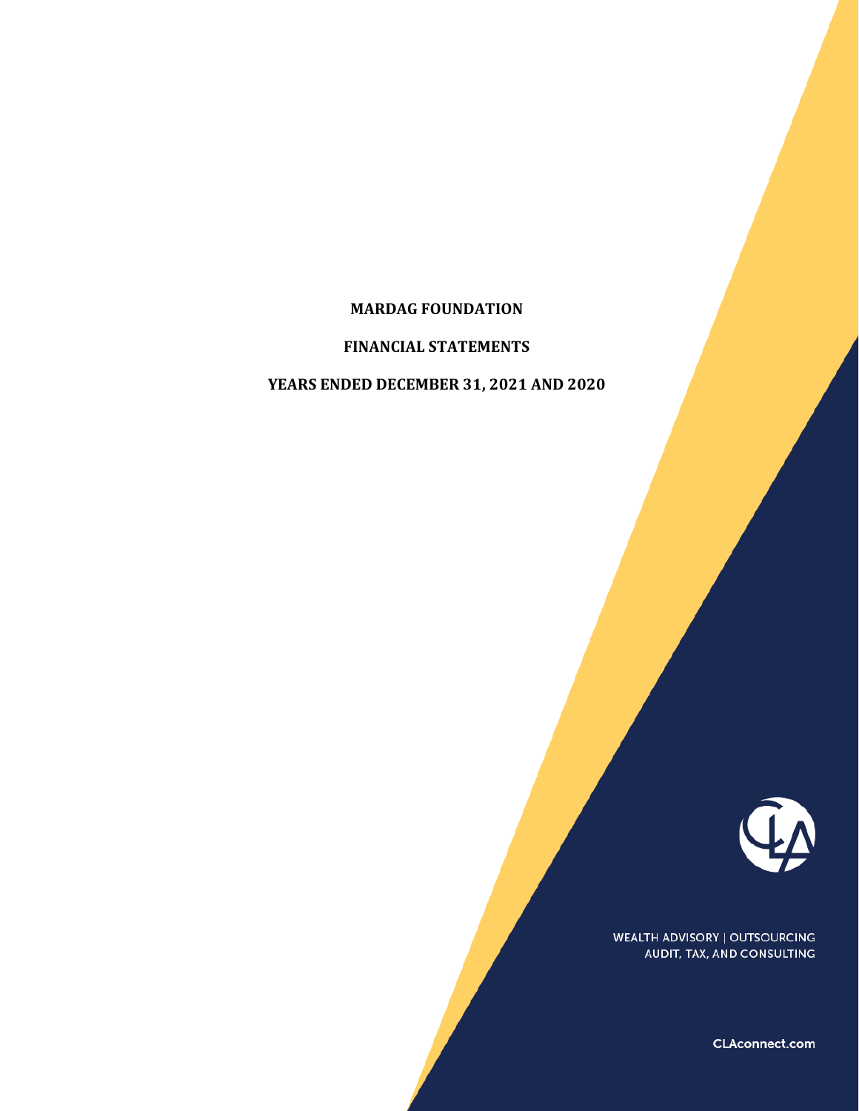# **MARDAG FOUNDATION**

### **FINANCIAL STATEMENTS**

# **YEARS ENDED DECEMBER 31, 2021 AND 2020**



WEALTH ADVISORY | OUTSOURCING AUDIT, TAX, AND CONSULTING

CLAconnect.com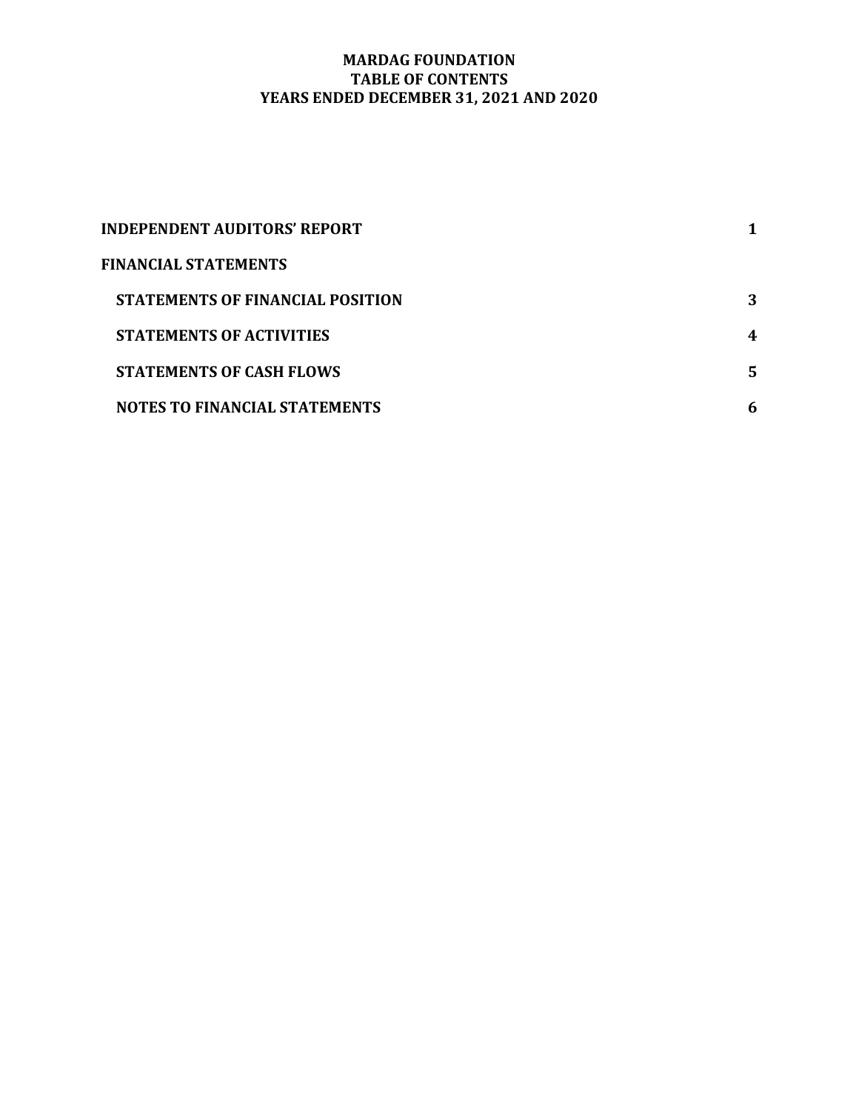# **MARDAG FOUNDATION TABLE OF CONTENTS YEARS ENDED DECEMBER 31, 2021 AND 2020**

| <b>INDEPENDENT AUDITORS' REPORT</b>     |   |
|-----------------------------------------|---|
| <b>FINANCIAL STATEMENTS</b>             |   |
| <b>STATEMENTS OF FINANCIAL POSITION</b> | 3 |
| <b>STATEMENTS OF ACTIVITIES</b>         | 4 |
| <b>STATEMENTS OF CASH FLOWS</b>         | 5 |
| <b>NOTES TO FINANCIAL STATEMENTS</b>    | 6 |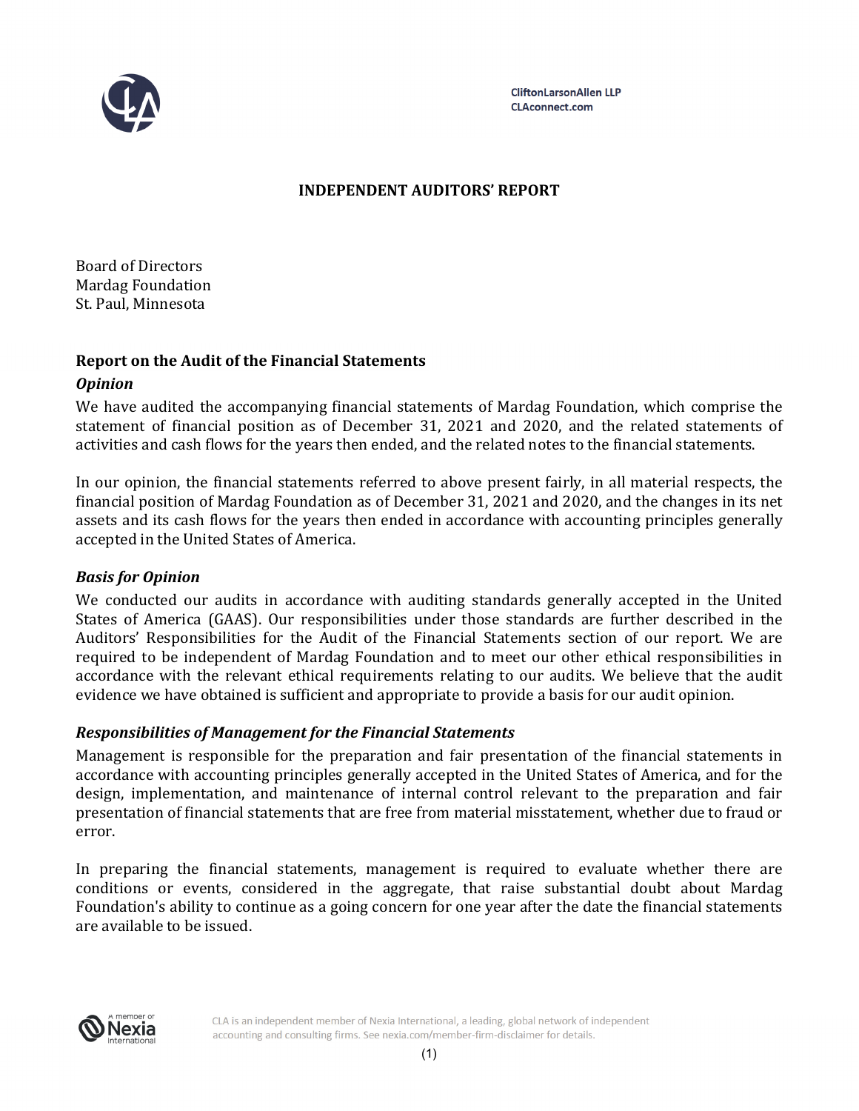

**CliftonLarsonAllen LLP CLAconnect.com** 

## **INDEPENDENT AUDITORS' REPORT**

Board of Directors Mardag Foundation St. Paul, Minnesota

### **Report on the Audit of the Financial Statements**

### *Opinion*

We have audited the accompanying financial statements of Mardag Foundation, which comprise the statement of financial position as of December 31, 2021 and 2020, and the related statements of activities and cash flows for the years then ended, and the related notes to the financial statements.

In our opinion, the financial statements referred to above present fairly, in all material respects, the financial position of Mardag Foundation as of December 31, 2021 and 2020, and the changes in its net assets and its cash flows for the years then ended in accordance with accounting principles generally accepted in the United States of America.

## *Basis for Opinion*

We conducted our audits in accordance with auditing standards generally accepted in the United States of America (GAAS). Our responsibilities under those standards are further described in the Auditors' Responsibilities for the Audit of the Financial Statements section of our report. We are required to be independent of Mardag Foundation and to meet our other ethical responsibilities in accordance with the relevant ethical requirements relating to our audits. We believe that the audit evidence we have obtained is sufficient and appropriate to provide a basis for our audit opinion.

## *Responsibilities of Management for the Financial Statements*

Management is responsible for the preparation and fair presentation of the financial statements in accordance with accounting principles generally accepted in the United States of America, and for the design, implementation, and maintenance of internal control relevant to the preparation and fair presentation of financial statements that are free from material misstatement, whether due to fraud or error.

In preparing the financial statements, management is required to evaluate whether there are conditions or events, considered in the aggregate, that raise substantial doubt about Mardag Foundation's ability to continue as a going concern for one year after the date the financial statements are available to be issued.



CLA is an independent member of Nexia International, a leading, global network of independent accounting and consulting firms. See nexia.com/member-firm-disclaimer for details.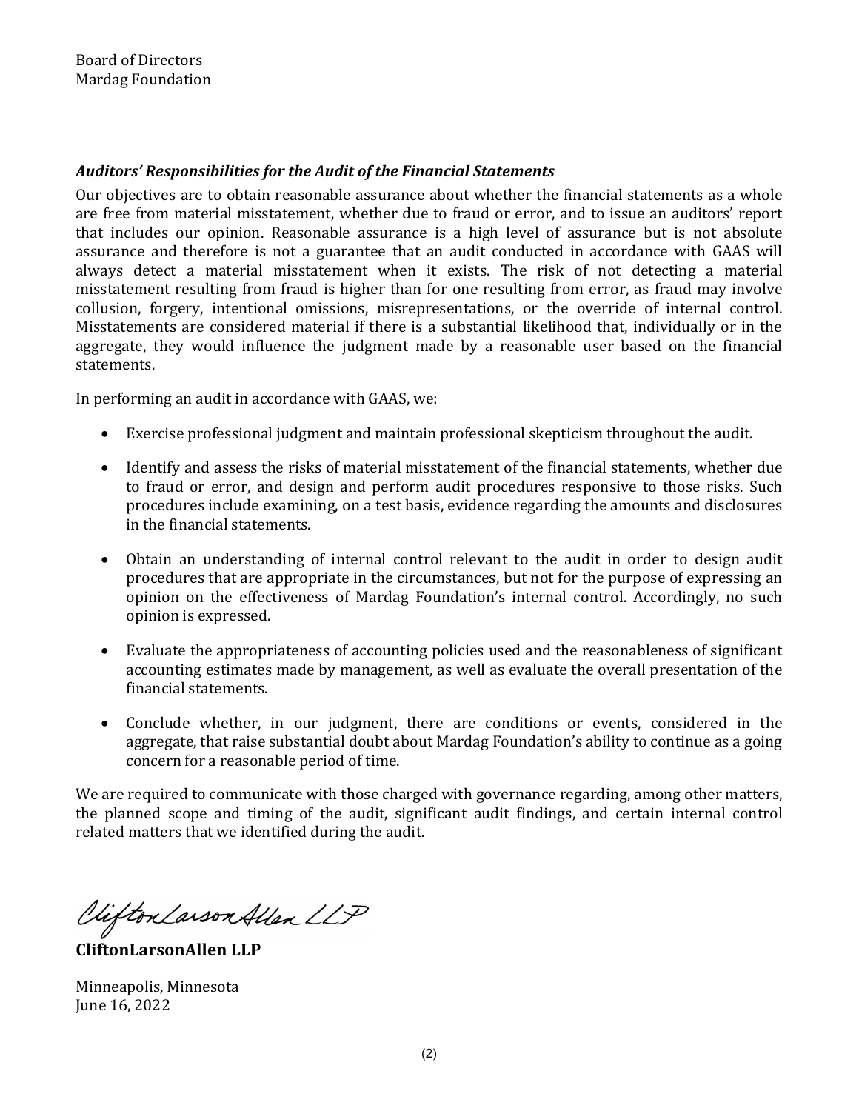## *Auditors' Responsibilities for the Audit of the Financial Statements*

Our objectives are to obtain reasonable assurance about whether the financial statements as a whole are free from material misstatement, whether due to fraud or error, and to issue an auditors' report that includes our opinion. Reasonable assurance is a high level of assurance but is not absolute assurance and therefore is not a guarantee that an audit conducted in accordance with GAAS will always detect a material misstatement when it exists. The risk of not detecting a material misstatement resulting from fraud is higher than for one resulting from error, as fraud may involve collusion, forgery, intentional omissions, misrepresentations, or the override of internal control. Misstatements are considered material if there is a substantial likelihood that, individually or in the aggregate, they would influence the judgment made by a reasonable user based on the financial statements.

In performing an audit in accordance with GAAS, we:

- Exercise professional judgment and maintain professional skepticism throughout the audit.
- Identify and assess the risks of material misstatement of the financial statements, whether due to fraud or error, and design and perform audit procedures responsive to those risks. Such procedures include examining, on a test basis, evidence regarding the amounts and disclosures in the financial statements.
- Obtain an understanding of internal control relevant to the audit in order to design audit procedures that are appropriate in the circumstances, but not for the purpose of expressing an opinion on the effectiveness of Mardag Foundation's internal control. Accordingly, no such opinion is expressed.
- Evaluate the appropriateness of accounting policies used and the reasonableness of significant accounting estimates made by management, as well as evaluate the overall presentation of the financial statements.
- Conclude whether, in our judgment, there are conditions or events, considered in the aggregate, that raise substantial doubt about Mardag Foundation's ability to continue as a going concern for a reasonable period of time.

We are required to communicate with those charged with governance regarding, among other matters, the planned scope and timing of the audit, significant audit findings, and certain internal control related matters that we identified during the audit.

Vifton Larson Allen LLP

**CliftonLarsonAllen LLP**

Minneapolis, Minnesota June 16, 2022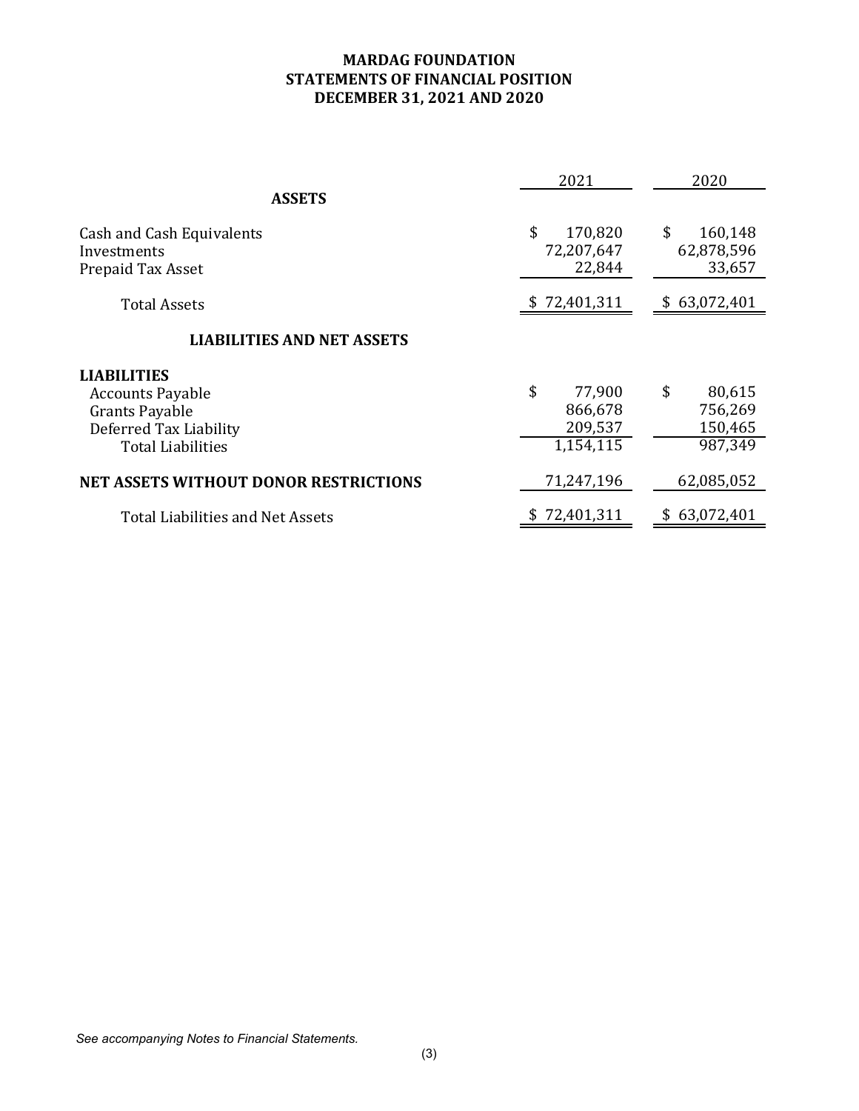### **MARDAG FOUNDATION STATEMENTS OF FINANCIAL POSITION DECEMBER 31, 2021 AND 2020**

|                                                                                                                              | 2021                                            | 2020                                          |
|------------------------------------------------------------------------------------------------------------------------------|-------------------------------------------------|-----------------------------------------------|
| <b>ASSETS</b>                                                                                                                |                                                 |                                               |
| Cash and Cash Equivalents<br>Investments<br>Prepaid Tax Asset                                                                | \$<br>170,820<br>72,207,647<br>22,844           | \$<br>160,148<br>62,878,596<br>33,657         |
| <b>Total Assets</b>                                                                                                          | \$72,401,311                                    | \$63,072,401                                  |
| <b>LIABILITIES AND NET ASSETS</b>                                                                                            |                                                 |                                               |
| <b>LIABILITIES</b><br><b>Accounts Payable</b><br><b>Grants Payable</b><br>Deferred Tax Liability<br><b>Total Liabilities</b> | \$<br>77,900<br>866,678<br>209,537<br>1,154,115 | \$<br>80,615<br>756,269<br>150,465<br>987,349 |
| <b>NET ASSETS WITHOUT DONOR RESTRICTIONS</b>                                                                                 | 71,247,196                                      | 62,085,052                                    |
| Total Liabilities and Net Assets                                                                                             | \$72,401,311                                    | \$63,072,401                                  |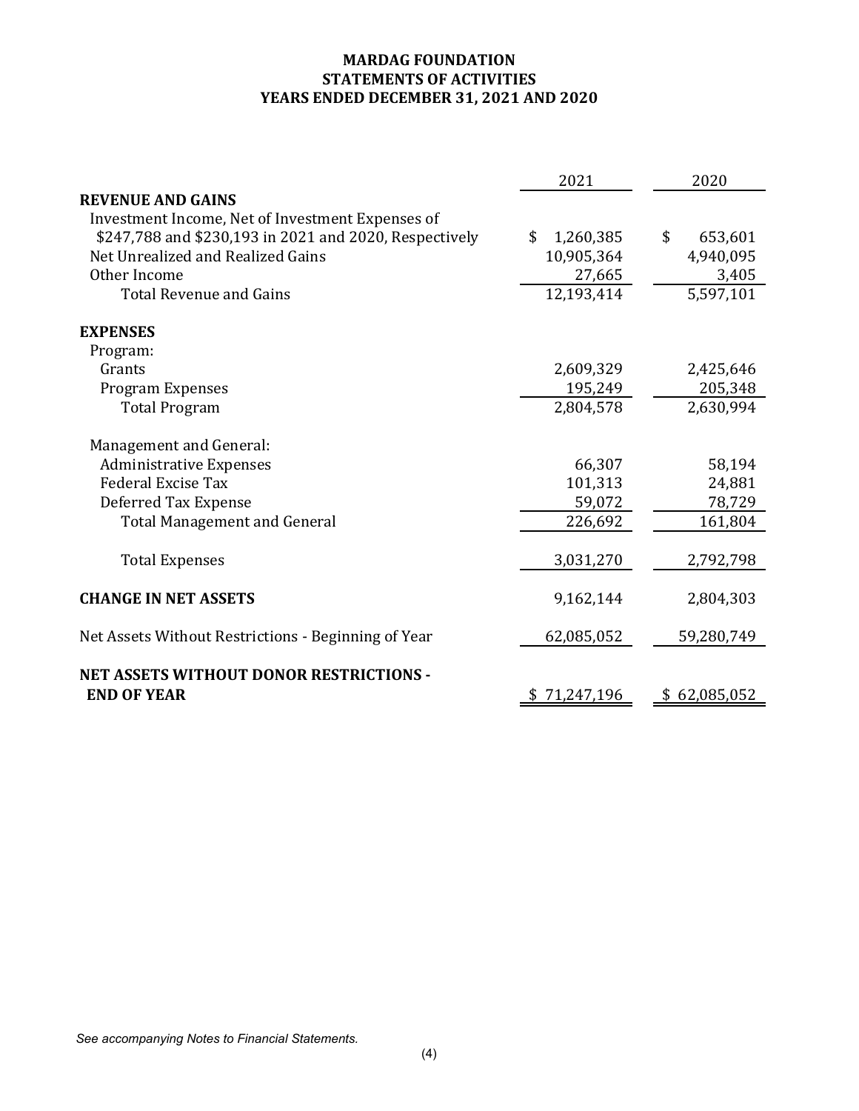## **MARDAG FOUNDATION STATEMENTS OF ACTIVITIES YEARS ENDED DECEMBER 31, 2021 AND 2020**

|                                                        | 2021            | 2020          |
|--------------------------------------------------------|-----------------|---------------|
| <b>REVENUE AND GAINS</b>                               |                 |               |
| Investment Income, Net of Investment Expenses of       |                 |               |
| \$247,788 and \$230,193 in 2021 and 2020, Respectively | \$<br>1,260,385 | \$<br>653,601 |
| Net Unrealized and Realized Gains                      | 10,905,364      | 4,940,095     |
| Other Income                                           | 27,665          | 3,405         |
| <b>Total Revenue and Gains</b>                         | 12,193,414      | 5,597,101     |
| <b>EXPENSES</b>                                        |                 |               |
| Program:                                               |                 |               |
| Grants                                                 | 2,609,329       | 2,425,646     |
| Program Expenses                                       | 195,249         | 205,348       |
| <b>Total Program</b>                                   | 2,804,578       | 2,630,994     |
| Management and General:                                |                 |               |
| <b>Administrative Expenses</b>                         | 66,307          | 58,194        |
| <b>Federal Excise Tax</b>                              | 101,313         | 24,881        |
| Deferred Tax Expense                                   | 59,072          | 78,729        |
| <b>Total Management and General</b>                    | 226,692         | 161,804       |
| <b>Total Expenses</b>                                  | 3,031,270       | 2,792,798     |
| <b>CHANGE IN NET ASSETS</b>                            | 9,162,144       | 2,804,303     |
| Net Assets Without Restrictions - Beginning of Year    | 62,085,052      | 59,280,749    |
| NET ASSETS WITHOUT DONOR RESTRICTIONS -                |                 |               |
| <b>END OF YEAR</b>                                     | \$71,247,196    | \$62,085,052  |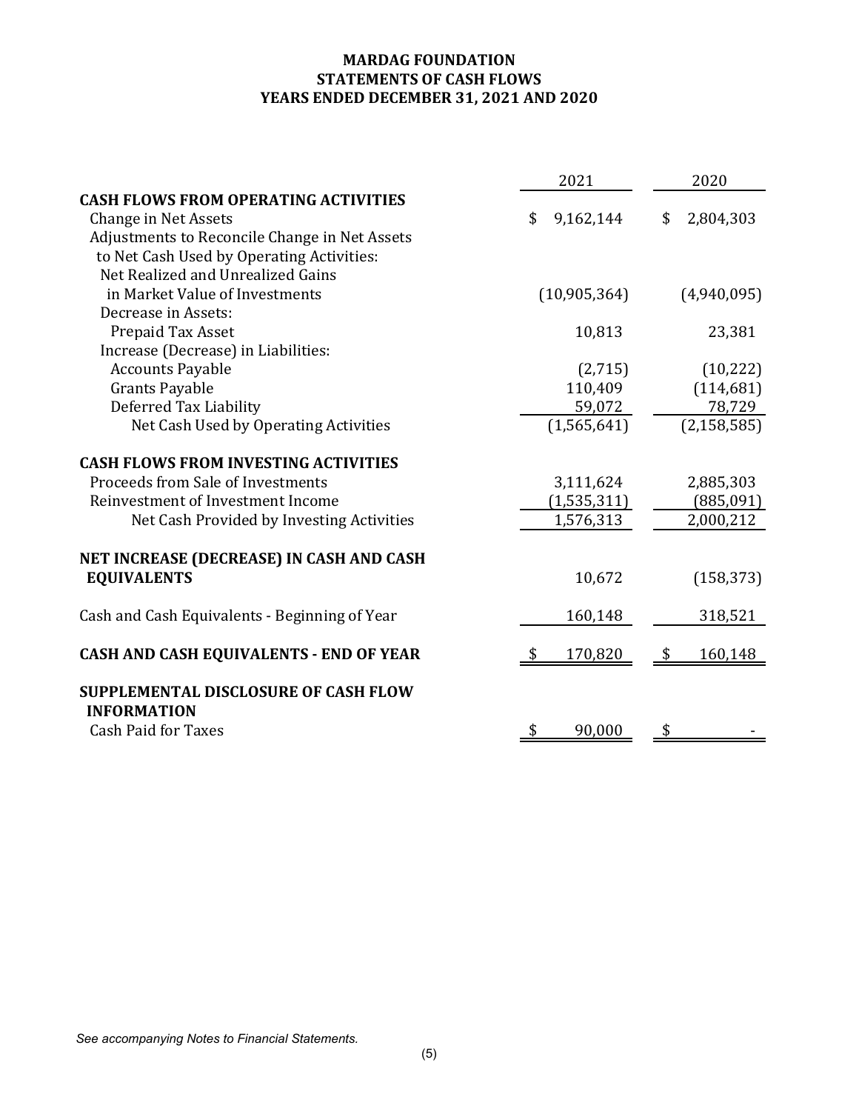## **MARDAG FOUNDATION STATEMENTS OF CASH FLOWS YEARS ENDED DECEMBER 31, 2021 AND 2020**

| <b>CASH FLOWS FROM OPERATING ACTIVITIES</b><br>\$<br>9,162,144<br>Change in Net Assets<br>\$<br>2,804,303<br>Adjustments to Reconcile Change in Net Assets<br>to Net Cash Used by Operating Activities:<br>Net Realized and Unrealized Gains<br>in Market Value of Investments<br>(10,905,364)<br>(4,940,095)<br>Decrease in Assets: |
|--------------------------------------------------------------------------------------------------------------------------------------------------------------------------------------------------------------------------------------------------------------------------------------------------------------------------------------|
|                                                                                                                                                                                                                                                                                                                                      |
|                                                                                                                                                                                                                                                                                                                                      |
|                                                                                                                                                                                                                                                                                                                                      |
|                                                                                                                                                                                                                                                                                                                                      |
|                                                                                                                                                                                                                                                                                                                                      |
|                                                                                                                                                                                                                                                                                                                                      |
|                                                                                                                                                                                                                                                                                                                                      |
| Prepaid Tax Asset<br>10,813<br>23,381                                                                                                                                                                                                                                                                                                |
| Increase (Decrease) in Liabilities:                                                                                                                                                                                                                                                                                                  |
| <b>Accounts Payable</b><br>(2,715)<br>(10, 222)                                                                                                                                                                                                                                                                                      |
| <b>Grants Payable</b><br>110,409<br>(114,681)                                                                                                                                                                                                                                                                                        |
| Deferred Tax Liability<br>59,072<br>78,729                                                                                                                                                                                                                                                                                           |
| (1,565,641)<br>Net Cash Used by Operating Activities<br>(2, 158, 585)                                                                                                                                                                                                                                                                |
| <b>CASH FLOWS FROM INVESTING ACTIVITIES</b>                                                                                                                                                                                                                                                                                          |
| Proceeds from Sale of Investments<br>3,111,624<br>2,885,303                                                                                                                                                                                                                                                                          |
| Reinvestment of Investment Income<br>(1,535,311)<br>(885,091)                                                                                                                                                                                                                                                                        |
| 1,576,313<br>Net Cash Provided by Investing Activities<br>2,000,212                                                                                                                                                                                                                                                                  |
| NET INCREASE (DECREASE) IN CASH AND CASH                                                                                                                                                                                                                                                                                             |
| <b>EQUIVALENTS</b><br>10,672<br>(158, 373)                                                                                                                                                                                                                                                                                           |
| Cash and Cash Equivalents - Beginning of Year<br>160,148<br>318,521                                                                                                                                                                                                                                                                  |
| CASH AND CASH EQUIVALENTS - END OF YEAR<br>170,820<br>160,148<br>\$<br>S.                                                                                                                                                                                                                                                            |
| SUPPLEMENTAL DISCLOSURE OF CASH FLOW<br><b>INFORMATION</b>                                                                                                                                                                                                                                                                           |
| \$<br>\$<br><b>Cash Paid for Taxes</b><br>90,000                                                                                                                                                                                                                                                                                     |

*See accompanying Notes to Financial Statements.*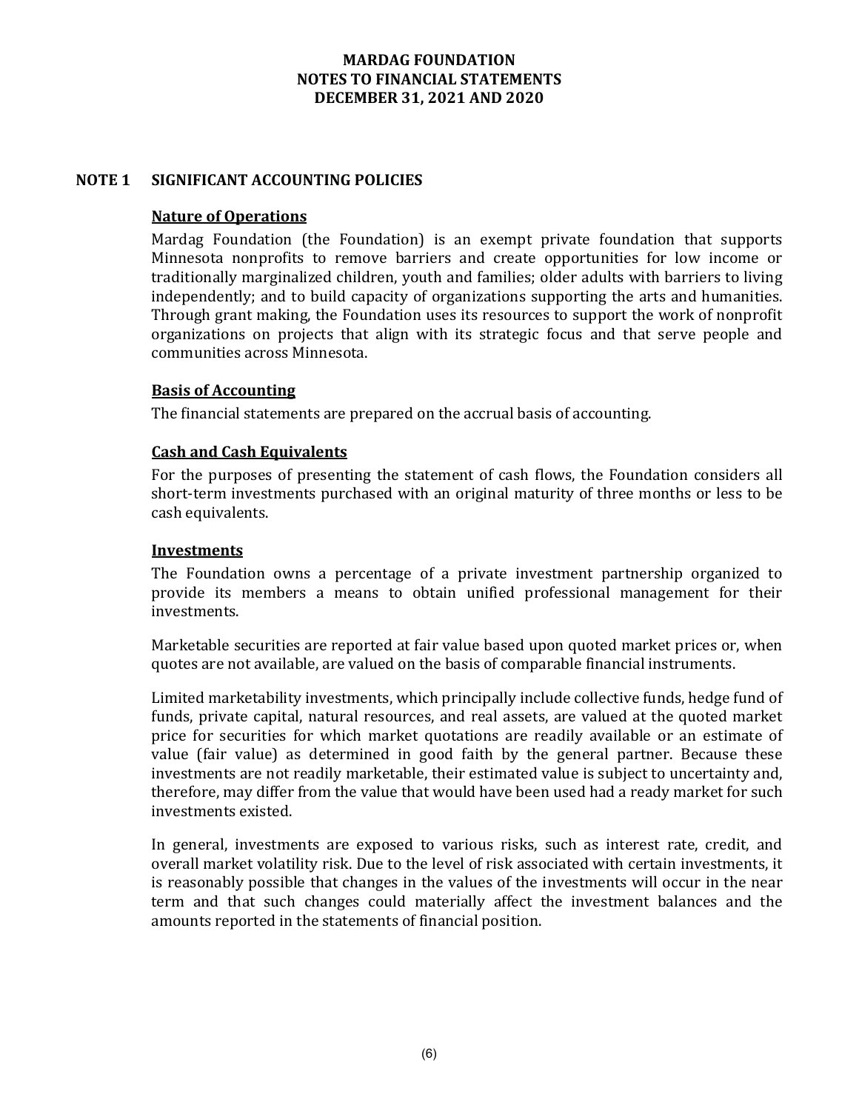## **NOTE 1 SIGNIFICANT ACCOUNTING POLICIES**

### **Nature of Operations**

Mardag Foundation (the Foundation) is an exempt private foundation that supports Minnesota nonprofits to remove barriers and create opportunities for low income or traditionally marginalized children, youth and families; older adults with barriers to living independently; and to build capacity of organizations supporting the arts and humanities. Through grant making, the Foundation uses its resources to support the work of nonprofit organizations on projects that align with its strategic focus and that serve people and communities across Minnesota.

## **Basis of Accounting**

The financial statements are prepared on the accrual basis of accounting.

### **Cash and Cash Equivalents**

For the purposes of presenting the statement of cash flows, the Foundation considers all short-term investments purchased with an original maturity of three months or less to be cash equivalents.

### **Investments**

The Foundation owns a percentage of a private investment partnership organized to provide its members a means to obtain unified professional management for their investments.

Marketable securities are reported at fair value based upon quoted market prices or, when quotes are not available, are valued on the basis of comparable financial instruments.

Limited marketability investments, which principally include collective funds, hedge fund of funds, private capital, natural resources, and real assets, are valued at the quoted market price for securities for which market quotations are readily available or an estimate of value (fair value) as determined in good faith by the general partner. Because these investments are not readily marketable, their estimated value is subject to uncertainty and, therefore, may differ from the value that would have been used had a ready market for such investments existed.

In general, investments are exposed to various risks, such as interest rate, credit, and overall market volatility risk. Due to the level of risk associated with certain investments, it is reasonably possible that changes in the values of the investments will occur in the near term and that such changes could materially affect the investment balances and the amounts reported in the statements of financial position.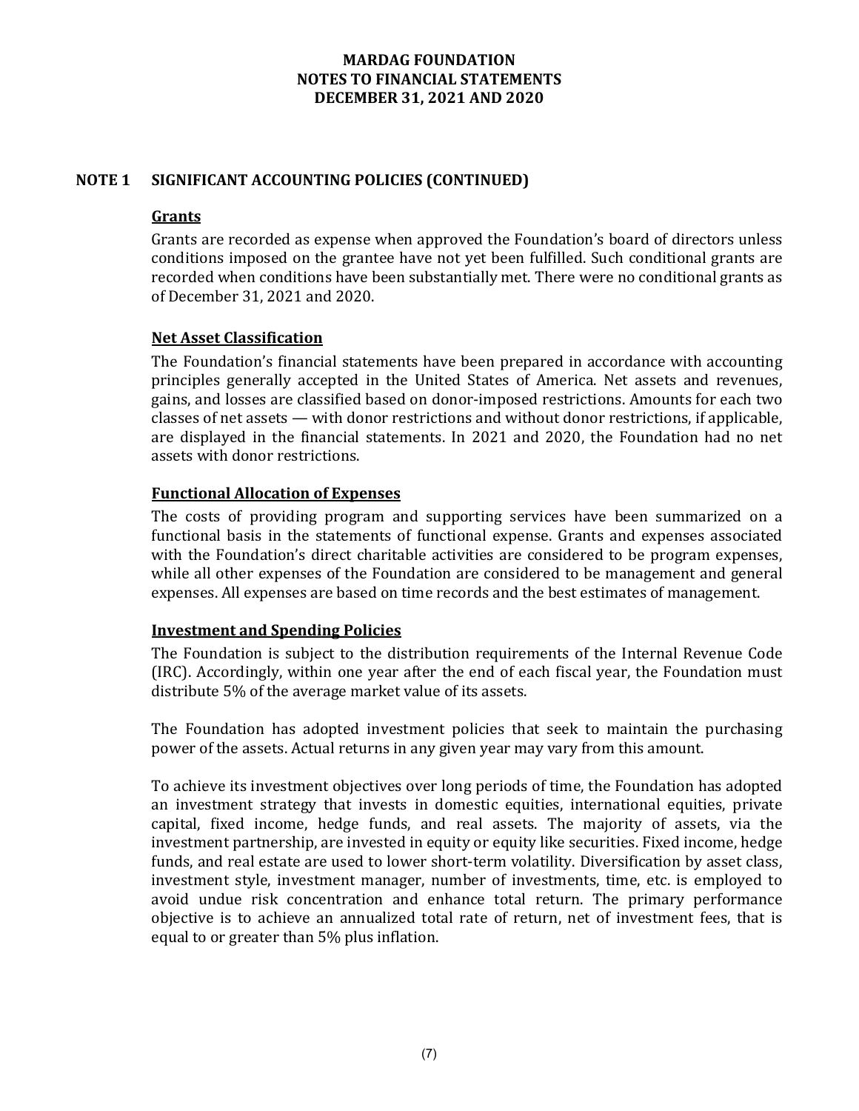## **NOTE 1 SIGNIFICANT ACCOUNTING POLICIES (CONTINUED)**

### **Grants**

Grants are recorded as expense when approved the Foundation's board of directors unless conditions imposed on the grantee have not yet been fulfilled. Such conditional grants are recorded when conditions have been substantially met. There were no conditional grants as of December 31, 2021 and 2020.

## **Net Asset Classification**

The Foundation's financial statements have been prepared in accordance with accounting principles generally accepted in the United States of America. Net assets and revenues, gains, and losses are classified based on donor-imposed restrictions. Amounts for each two classes of net assets — with donor restrictions and without donor restrictions, if applicable, are displayed in the financial statements. In 2021 and 2020, the Foundation had no net assets with donor restrictions.

## **Functional Allocation of Expenses**

The costs of providing program and supporting services have been summarized on a functional basis in the statements of functional expense. Grants and expenses associated with the Foundation's direct charitable activities are considered to be program expenses, while all other expenses of the Foundation are considered to be management and general expenses. All expenses are based on time records and the best estimates of management.

## **Investment and Spending Policies**

The Foundation is subject to the distribution requirements of the Internal Revenue Code (IRC). Accordingly, within one year after the end of each fiscal year, the Foundation must distribute 5% of the average market value of its assets.

The Foundation has adopted investment policies that seek to maintain the purchasing power of the assets. Actual returns in any given year may vary from this amount.

To achieve its investment objectives over long periods of time, the Foundation has adopted an investment strategy that invests in domestic equities, international equities, private capital, fixed income, hedge funds, and real assets. The majority of assets, via the investment partnership, are invested in equity or equity like securities. Fixed income, hedge funds, and real estate are used to lower short-term volatility. Diversification by asset class, investment style, investment manager, number of investments, time, etc. is employed to avoid undue risk concentration and enhance total return. The primary performance objective is to achieve an annualized total rate of return, net of investment fees, that is equal to or greater than 5% plus inflation.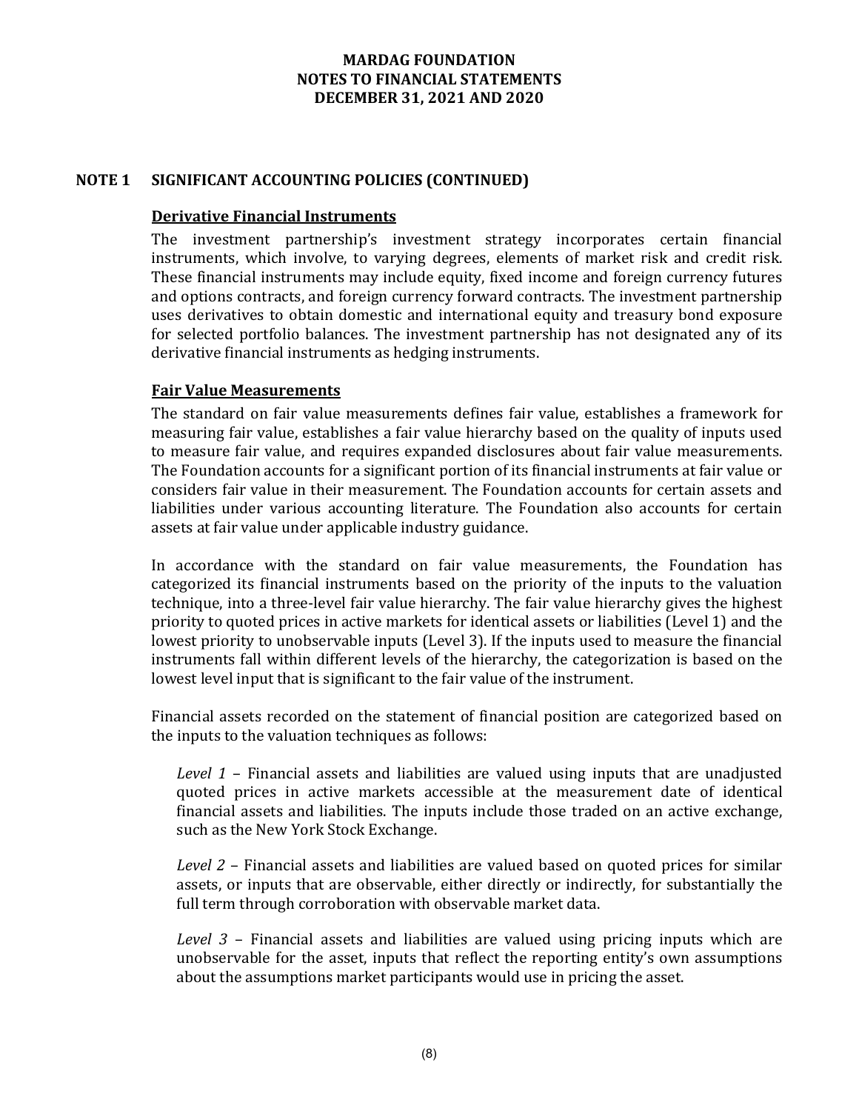## **NOTE 1 SIGNIFICANT ACCOUNTING POLICIES (CONTINUED)**

### **Derivative Financial Instruments**

The investment partnership's investment strategy incorporates certain financial instruments, which involve, to varying degrees, elements of market risk and credit risk. These financial instruments may include equity, fixed income and foreign currency futures and options contracts, and foreign currency forward contracts. The investment partnership uses derivatives to obtain domestic and international equity and treasury bond exposure for selected portfolio balances. The investment partnership has not designated any of its derivative financial instruments as hedging instruments.

## **Fair Value Measurements**

The standard on fair value measurements defines fair value, establishes a framework for measuring fair value, establishes a fair value hierarchy based on the quality of inputs used to measure fair value, and requires expanded disclosures about fair value measurements. The Foundation accounts for a significant portion of its financial instruments at fair value or considers fair value in their measurement. The Foundation accounts for certain assets and liabilities under various accounting literature. The Foundation also accounts for certain assets at fair value under applicable industry guidance.

In accordance with the standard on fair value measurements, the Foundation has categorized its financial instruments based on the priority of the inputs to the valuation technique, into a three-level fair value hierarchy. The fair value hierarchy gives the highest priority to quoted prices in active markets for identical assets or liabilities (Level 1) and the lowest priority to unobservable inputs (Level 3). If the inputs used to measure the financial instruments fall within different levels of the hierarchy, the categorization is based on the lowest level input that is significant to the fair value of the instrument.

Financial assets recorded on the statement of financial position are categorized based on the inputs to the valuation techniques as follows:

*Level 1* – Financial assets and liabilities are valued using inputs that are unadjusted quoted prices in active markets accessible at the measurement date of identical financial assets and liabilities. The inputs include those traded on an active exchange, such as the New York Stock Exchange.

*Level 2* – Financial assets and liabilities are valued based on quoted prices for similar assets, or inputs that are observable, either directly or indirectly, for substantially the full term through corroboration with observable market data.

*Level 3* – Financial assets and liabilities are valued using pricing inputs which are unobservable for the asset, inputs that reflect the reporting entity's own assumptions about the assumptions market participants would use in pricing the asset.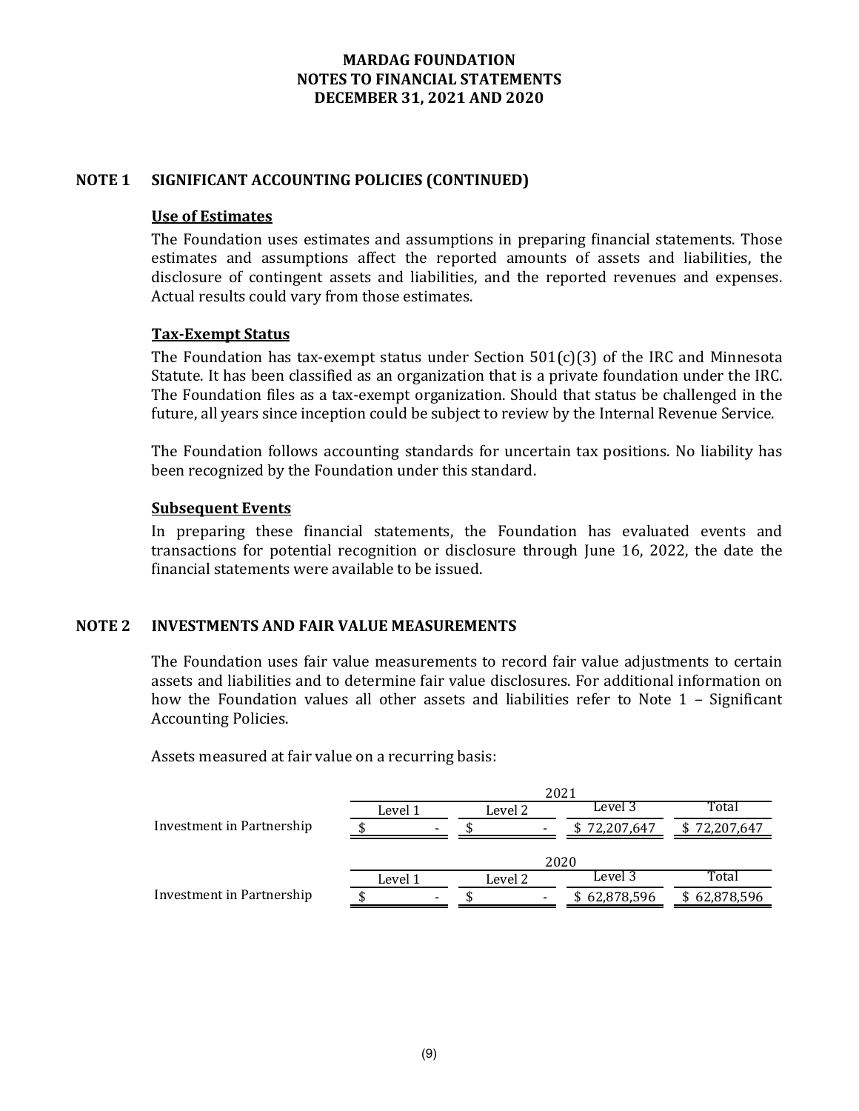### **NOTE 1 SIGNIFICANT ACCOUNTING POLICIES (CONTINUED)**

#### **Use of Estimates**

The Foundation uses estimates and assumptions in preparing financial statements. Those estimates and assumptions affect the reported amounts of assets and liabilities, the disclosure of contingent assets and liabilities, and the reported revenues and expenses. Actual results could vary from those estimates.

### **Tax‐Exempt Status**

The Foundation has tax-exempt status under Section  $501(c)(3)$  of the IRC and Minnesota Statute. It has been classified as an organization that is a private foundation under the IRC. The Foundation files as a tax-exempt organization. Should that status be challenged in the future, all years since inception could be subject to review by the Internal Revenue Service.

The Foundation follows accounting standards for uncertain tax positions. No liability has been recognized by the Foundation under this standard.

#### **Subsequent Events**

In preparing these financial statements, the Foundation has evaluated events and transactions for potential recognition or disclosure through June 16, 2022, the date the financial statements were available to be issued.

### **NOTE 2 INVESTMENTS AND FAIR VALUE MEASUREMENTS**

The Foundation uses fair value measurements to record fair value adjustments to certain assets and liabilities and to determine fair value disclosures. For additional information on how the Foundation values all other assets and liabilities refer to Note 1 – Significant Accounting Policies.

Assets measured at fair value on a recurring basis:

|                           | 2021                     |         |            |                  |
|---------------------------|--------------------------|---------|------------|------------------|
|                           | Level 1                  | Level 2 | Level 3    | Total            |
| Investment in Partnership | $\overline{\phantom{0}}$ | -       | 72,207,647 | 72,207,647<br>\$ |
|                           |                          |         | 2020       |                  |
|                           | Level 1                  | Level 2 | Level 3    | Total            |
| Investment in Partnership |                          | -       | 62,878,596 | 62,878,596       |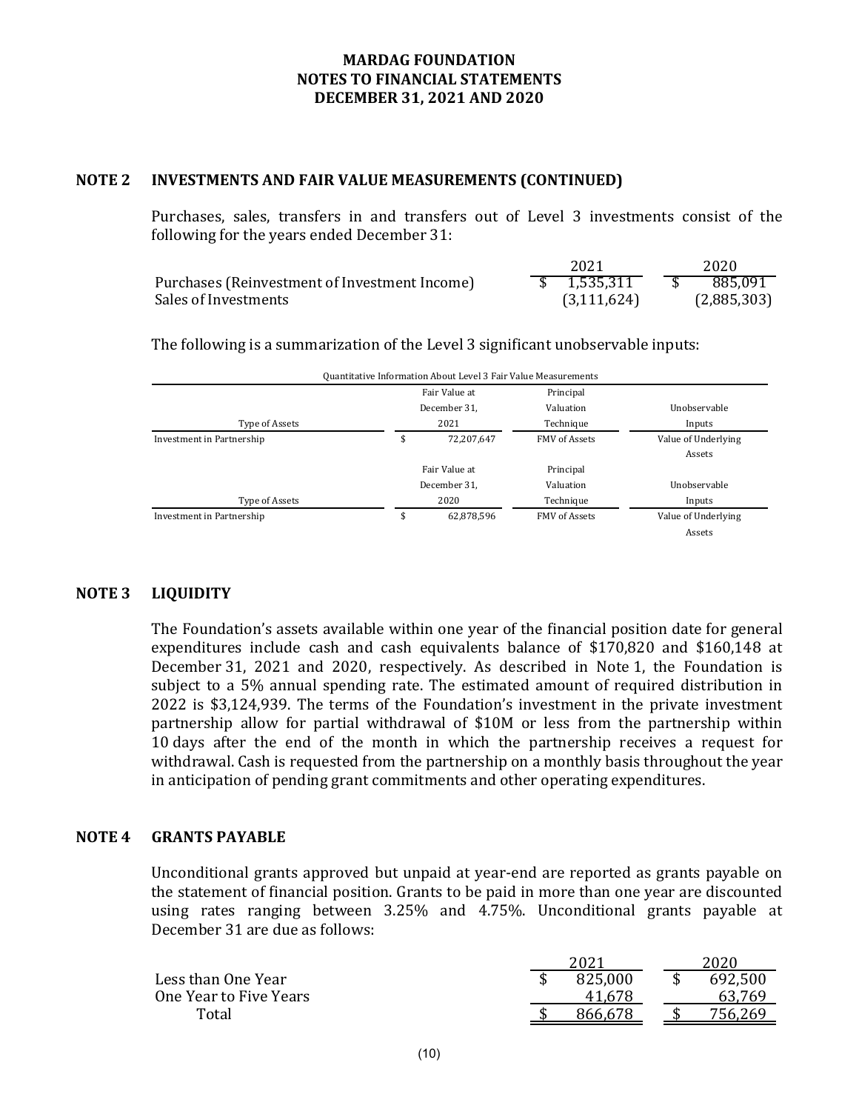### **NOTE 2 INVESTMENTS AND FAIR VALUE MEASUREMENTS (CONTINUED)**

Purchases, sales, transfers in and transfers out of Level 3 investments consist of the following for the years ended December 31:

|                                               | 2021          | 2020        |
|-----------------------------------------------|---------------|-------------|
| Purchases (Reinvestment of Investment Income) | \$1,535,311   | -885.091    |
| Sales of Investments                          | (3, 111, 624) | (2,885,303) |

The following is a summarization of the Level 3 significant unobservable inputs:

|                           |              | Quantitative Information About Level 3 Fair Value Measurements |                      |                     |
|---------------------------|--------------|----------------------------------------------------------------|----------------------|---------------------|
|                           |              | Fair Value at                                                  | Principal            |                     |
|                           | December 31, |                                                                | Valuation            | Unobservable        |
| Type of Assets            |              | 2021                                                           | Technique            | Inputs              |
| Investment in Partnership | \$           | 72,207,647                                                     | <b>FMV</b> of Assets | Value of Underlying |
|                           |              |                                                                |                      | Assets              |
|                           |              | Fair Value at                                                  | Principal            |                     |
|                           |              | December 31,                                                   | Valuation            | Unobservable        |
| Type of Assets            |              | 2020                                                           | Technique            | Inputs              |
| Investment in Partnership | \$           | 62,878,596                                                     | <b>FMV</b> of Assets | Value of Underlying |
|                           |              |                                                                |                      | Assets              |

## **NOTE 3 LIQUIDITY**

The Foundation's assets available within one year of the financial position date for general expenditures include cash and cash equivalents balance of \$170,820 and \$160,148 at December 31, 2021 and 2020, respectively. As described in Note 1, the Foundation is subject to a 5% annual spending rate. The estimated amount of required distribution in 2022 is \$3,124,939. The terms of the Foundation's investment in the private investment partnership allow for partial withdrawal of \$10M or less from the partnership within 10 days after the end of the month in which the partnership receives a request for withdrawal. Cash is requested from the partnership on a monthly basis throughout the year in anticipation of pending grant commitments and other operating expenditures.

#### **NOTE 4 GRANTS PAYABLE**

Unconditional grants approved but unpaid at year-end are reported as grants payable on the statement of financial position. Grants to be paid in more than one year are discounted using rates ranging between 3.25% and 4.75%. Unconditional grants payable at December 31 are due as follows:

|                        | 2021    |  | 2020    |
|------------------------|---------|--|---------|
| Less than One Year     | 825,000 |  | 692,500 |
| One Year to Five Years | 41.678  |  | 63,769  |
| Total                  | 866,678 |  | 756,269 |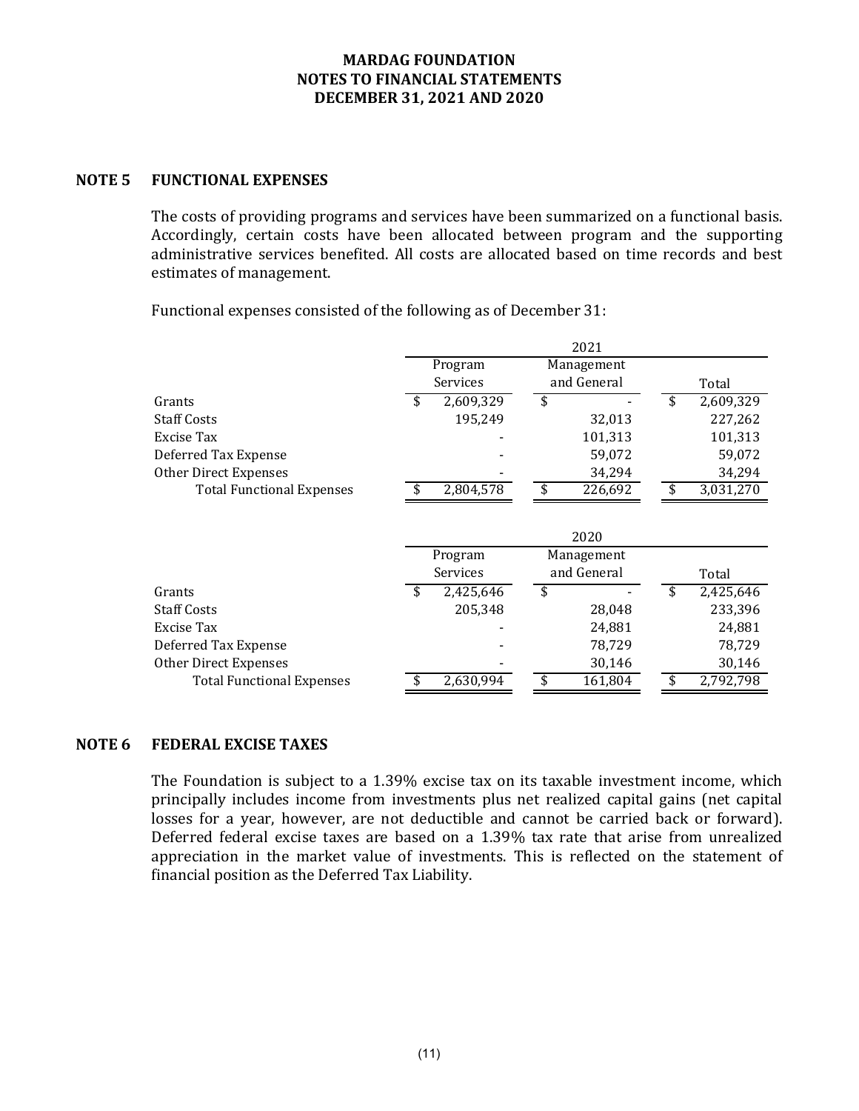### **NOTE 5 FUNCTIONAL EXPENSES**

The costs of providing programs and services have been summarized on a functional basis. Accordingly, certain costs have been allocated between program and the supporting administrative services benefited. All costs are allocated based on time records and best estimates of management.

Functional expenses consisted of the following as of December 31:

|                                  |                         |           |            | 2021        |                 |
|----------------------------------|-------------------------|-----------|------------|-------------|-----------------|
|                                  |                         | Program   |            | Management  |                 |
|                                  |                         | Services  |            | and General | Total           |
| Grants                           | \$                      | 2,609,329 | \$         |             | \$<br>2,609,329 |
| <b>Staff Costs</b>               |                         | 195,249   |            | 32,013      | 227,262         |
| Excise Tax                       |                         |           |            | 101,313     | 101,313         |
| Deferred Tax Expense             |                         |           |            | 59,072      | 59,072          |
| Other Direct Expenses            |                         |           |            | 34,294      | 34,294          |
| <b>Total Functional Expenses</b> | \$                      | 2,804,578 | \$         | 226,692     | \$<br>3,031,270 |
|                                  |                         |           |            | 2020        |                 |
|                                  | Program                 |           | Management |             |                 |
|                                  | and General<br>Services |           |            | Total       |                 |
| Grants                           | \$                      | 2,425,646 | \$         |             | \$<br>2,425,646 |
| <b>Staff Costs</b>               |                         | 205,348   |            | 28,048      | 233,396         |
| Excise Tax                       |                         |           |            | 24,881      |                 |
|                                  |                         |           |            |             | 24,881          |
| Deferred Tax Expense             |                         |           |            | 78,729      | 78,729          |
| Other Direct Expenses            |                         |           |            | 30,146      | 30,146          |

## **NOTE 6 FEDERAL EXCISE TAXES**

The Foundation is subject to a 1.39% excise tax on its taxable investment income, which principally includes income from investments plus net realized capital gains (net capital losses for a year, however, are not deductible and cannot be carried back or forward). Deferred federal excise taxes are based on a 1.39% tax rate that arise from unrealized appreciation in the market value of investments. This is reflected on the statement of financial position as the Deferred Tax Liability.